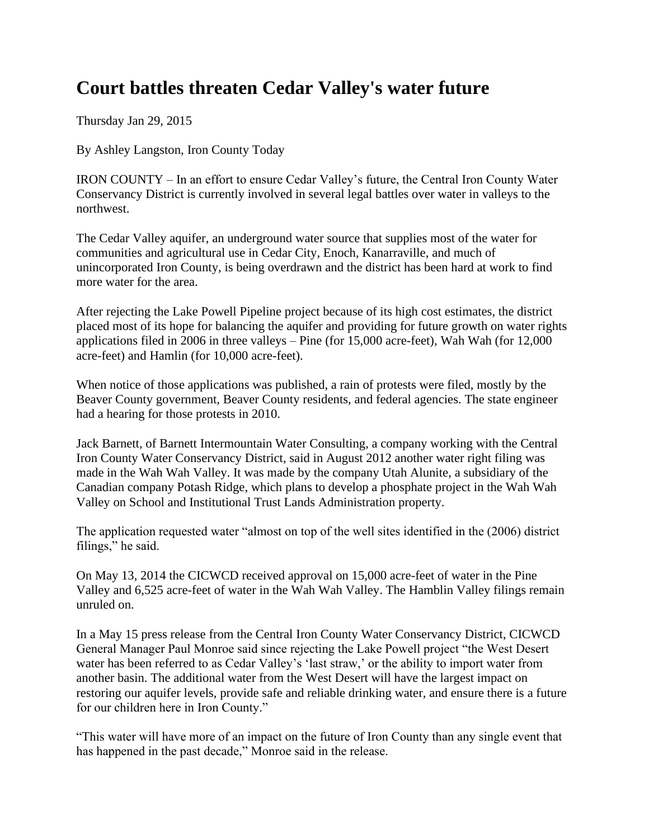## **Court battles threaten Cedar Valley's water future**

Thursday Jan 29, 2015

By Ashley Langston, Iron County Today

IRON COUNTY – In an effort to ensure Cedar Valley's future, the Central Iron County Water Conservancy District is currently involved in several legal battles over water in valleys to the northwest.

The Cedar Valley aquifer, an underground water source that supplies most of the water for communities and agricultural use in Cedar City, Enoch, Kanarraville, and much of unincorporated Iron County, is being overdrawn and the district has been hard at work to find more water for the area.

After rejecting the Lake Powell Pipeline project because of its high cost estimates, the district placed most of its hope for balancing the aquifer and providing for future growth on water rights applications filed in 2006 in three valleys – Pine (for 15,000 acre-feet), Wah Wah (for 12,000 acre-feet) and Hamlin (for 10,000 acre-feet).

When notice of those applications was published, a rain of protests were filed, mostly by the Beaver County government, Beaver County residents, and federal agencies. The state engineer had a hearing for those protests in 2010.

Jack Barnett, of Barnett Intermountain Water Consulting, a company working with the Central Iron County Water Conservancy District, said in August 2012 another water right filing was made in the Wah Wah Valley. It was made by the company Utah Alunite, a subsidiary of the Canadian company Potash Ridge, which plans to develop a phosphate project in the Wah Wah Valley on School and Institutional Trust Lands Administration property.

The application requested water "almost on top of the well sites identified in the (2006) district filings," he said.

On May 13, 2014 the CICWCD received approval on 15,000 acre-feet of water in the Pine Valley and 6,525 acre-feet of water in the Wah Wah Valley. The Hamblin Valley filings remain unruled on.

In a May 15 press release from the Central Iron County Water Conservancy District, CICWCD General Manager Paul Monroe said since rejecting the Lake Powell project "the West Desert water has been referred to as Cedar Valley's 'last straw,' or the ability to import water from another basin. The additional water from the West Desert will have the largest impact on restoring our aquifer levels, provide safe and reliable drinking water, and ensure there is a future for our children here in Iron County."

"This water will have more of an impact on the future of Iron County than any single event that has happened in the past decade," Monroe said in the release.